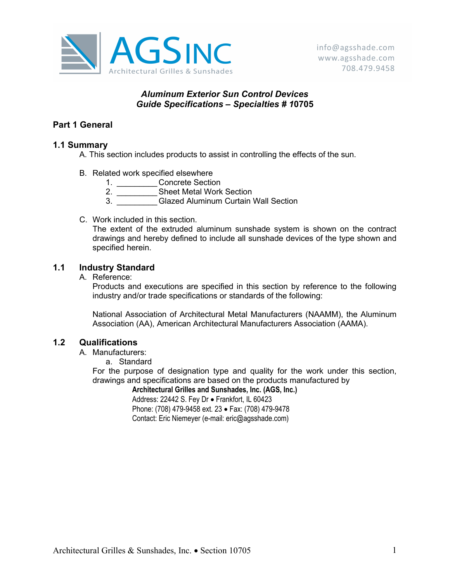

# Aluminum Exterior Sun Control Devices Guide Specifications – Specialties # 10705

# Part 1 General

## 1.1 Summary

- A. This section includes products to assist in controlling the effects of the sun.
- B. Related work specified elsewhere
	- 1. \_\_\_\_\_\_\_\_\_\_\_Concrete Section
		- 2. Sheet Metal Work Section
	- 3. **Glazed Aluminum Curtain Wall Section**
- C. Work included in this section.

The extent of the extruded aluminum sunshade system is shown on the contract drawings and hereby defined to include all sunshade devices of the type shown and specified herein.

# 1.1 Industry Standard

A. Reference:

Products and executions are specified in this section by reference to the following industry and/or trade specifications or standards of the following:

National Association of Architectural Metal Manufacturers (NAAMM), the Aluminum Association (AA), American Architectural Manufacturers Association (AAMA).

## 1.2 Qualifications

A. Manufacturers:

a. Standard

For the purpose of designation type and quality for the work under this section, drawings and specifications are based on the products manufactured by

Architectural Grilles and Sunshades, Inc. (AGS, Inc.)

Address: 22442 S. Fey Dr · Frankfort, IL 60423 Phone: (708) 479-9458 ext. 23 · Fax: (708) 479-9478 Contact: Eric Niemeyer (e-mail: eric@agsshade.com)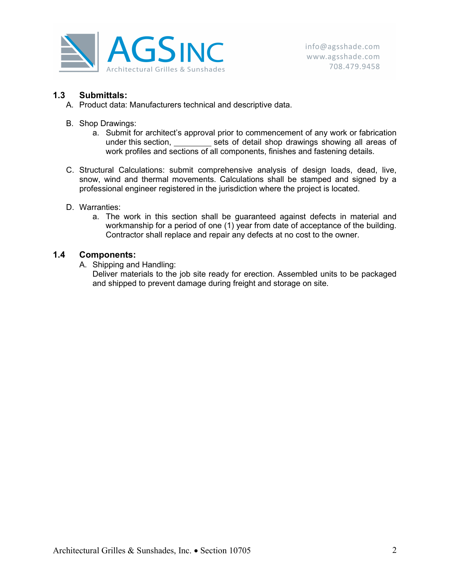

## 1.3 Submittals:

- A. Product data: Manufacturers technical and descriptive data.
- B. Shop Drawings:
	- a. Submit for architect's approval prior to commencement of any work or fabrication under this section, sets of detail shop drawings showing all areas of work profiles and sections of all components, finishes and fastening details.
- C. Structural Calculations: submit comprehensive analysis of design loads, dead, live, snow, wind and thermal movements. Calculations shall be stamped and signed by a professional engineer registered in the jurisdiction where the project is located.
- D. Warranties:
	- a. The work in this section shall be guaranteed against defects in material and workmanship for a period of one (1) year from date of acceptance of the building. Contractor shall replace and repair any defects at no cost to the owner.

### 1.4 Components:

A. Shipping and Handling:

Deliver materials to the job site ready for erection. Assembled units to be packaged and shipped to prevent damage during freight and storage on site.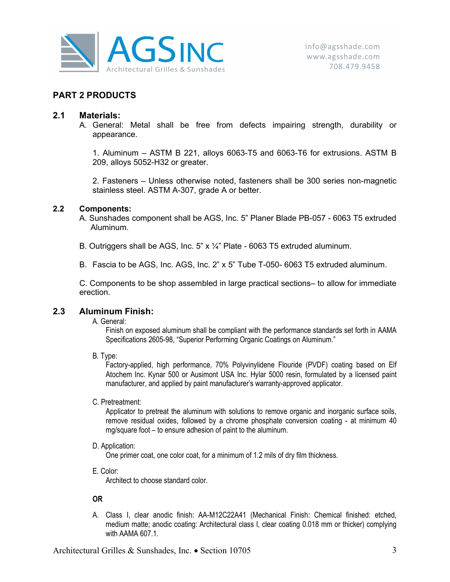

## PART 2 PRODUCTS

### 2.1 Materials:

A. General: Metal shall be free from defects impairing strength, durability or appearance.

1. Aluminum – ASTM B 221, alloys 6063-T5 and 6063-T6 for extrusions. ASTM B 209, alloys 5052-H32 or greater.

2. Fasteners – Unless otherwise noted, fasteners shall be 300 series non-magnetic stainless steel. ASTM A-307, grade A or better.

#### 2.2 Components:

A. Sunshades component shall be AGS, Inc. 5" Planer Blade PB-057 - 6063 T5 extruded Aluminum.

- B. Outriggers shall be AGS, Inc. 5" x ¼" Plate 6063 T5 extruded aluminum.
- B. Fascia to be AGS, Inc. AGS, Inc. 2" x 5" Tube T-050- 6063 T5 extruded aluminum.

C. Components to be shop assembled in large practical sections– to allow for immediate erection.

### 2.3 Aluminum Finish:

A. General:

Finish on exposed aluminum shall be compliant with the performance standards set forth in AAMA Specifications 2605-98, "Superior Performing Organic Coatings on Aluminum."

B. Type:

Factory-applied, high performance, 70% Polyvinylidene Flouride (PVDF) coating based on Elf Atochem Inc. Kynar 500 or Ausimont USA Inc. Hylar 5000 resin, formulated by a licensed paint manufacturer, and applied by paint manufacturer's warranty-approved applicator.

C. Pretreatment:

Applicator to pretreat the aluminum with solutions to remove organic and inorganic surface soils, remove residual oxides, followed by a chrome phosphate conversion coating - at minimum 40 mg/square foot – to ensure adhesion of paint to the aluminum.

D. Application:

One primer coat, one color coat, for a minimum of 1.2 mils of dry film thickness.

E. Color:

Architect to choose standard color.

#### OR

A. Class I, clear anodic finish: AA-M12C22A41 (Mechanical Finish: Chemical finished: etched, medium matte; anodic coating: Architectural class I, clear coating 0.018 mm or thicker) complying with AAMA 607.1.

Architectural Grilles & Sunshades, Inc. • Section 10705 3